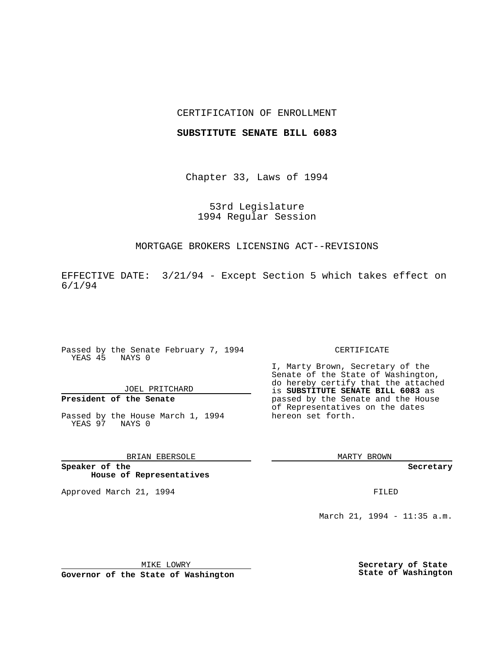## CERTIFICATION OF ENROLLMENT

## **SUBSTITUTE SENATE BILL 6083**

Chapter 33, Laws of 1994

53rd Legislature 1994 Regular Session

## MORTGAGE BROKERS LICENSING ACT--REVISIONS

EFFECTIVE DATE: 3/21/94 - Except Section 5 which takes effect on 6/1/94

Passed by the Senate February 7, 1994 YEAS 45 NAYS 0

# JOEL PRITCHARD

# **President of the Senate**

Passed by the House March 1, 1994 YEAS 97 NAYS 0

# BRIAN EBERSOLE

**Speaker of the House of Representatives**

Approved March 21, 1994 **FILED** 

#### CERTIFICATE

I, Marty Brown, Secretary of the Senate of the State of Washington, do hereby certify that the attached is **SUBSTITUTE SENATE BILL 6083** as passed by the Senate and the House of Representatives on the dates hereon set forth.

MARTY BROWN

**Secretary**

March 21, 1994 - 11:35 a.m.

MIKE LOWRY **Governor of the State of Washington** **Secretary of State State of Washington**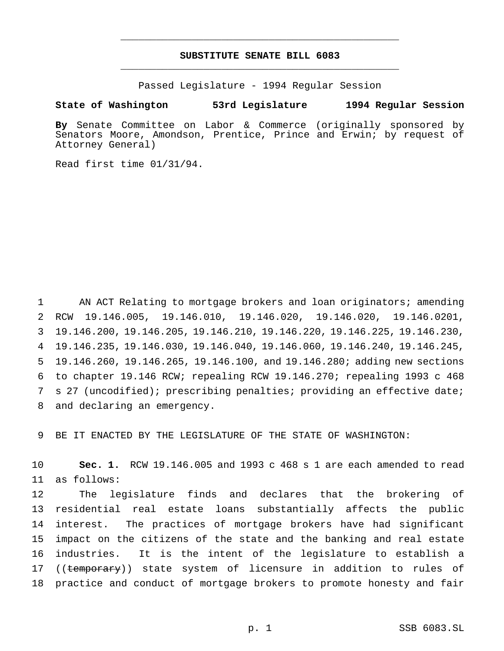# **SUBSTITUTE SENATE BILL 6083** \_\_\_\_\_\_\_\_\_\_\_\_\_\_\_\_\_\_\_\_\_\_\_\_\_\_\_\_\_\_\_\_\_\_\_\_\_\_\_\_\_\_\_\_\_\_\_

\_\_\_\_\_\_\_\_\_\_\_\_\_\_\_\_\_\_\_\_\_\_\_\_\_\_\_\_\_\_\_\_\_\_\_\_\_\_\_\_\_\_\_\_\_\_\_

Passed Legislature - 1994 Regular Session

### **State of Washington 53rd Legislature 1994 Regular Session**

**By** Senate Committee on Labor & Commerce (originally sponsored by Senators Moore, Amondson, Prentice, Prince and Erwin; by request of Attorney General)

Read first time 01/31/94.

 AN ACT Relating to mortgage brokers and loan originators; amending RCW 19.146.005, 19.146.010, 19.146.020, 19.146.020, 19.146.0201, 19.146.200, 19.146.205, 19.146.210, 19.146.220, 19.146.225, 19.146.230, 19.146.235, 19.146.030, 19.146.040, 19.146.060, 19.146.240, 19.146.245, 19.146.260, 19.146.265, 19.146.100, and 19.146.280; adding new sections to chapter 19.146 RCW; repealing RCW 19.146.270; repealing 1993 c 468 s 27 (uncodified); prescribing penalties; providing an effective date; and declaring an emergency.

BE IT ENACTED BY THE LEGISLATURE OF THE STATE OF WASHINGTON:

 **Sec. 1.** RCW 19.146.005 and 1993 c 468 s 1 are each amended to read as follows:

 The legislature finds and declares that the brokering of residential real estate loans substantially affects the public interest. The practices of mortgage brokers have had significant impact on the citizens of the state and the banking and real estate industries. It is the intent of the legislature to establish a 17 ((temporary)) state system of licensure in addition to rules of practice and conduct of mortgage brokers to promote honesty and fair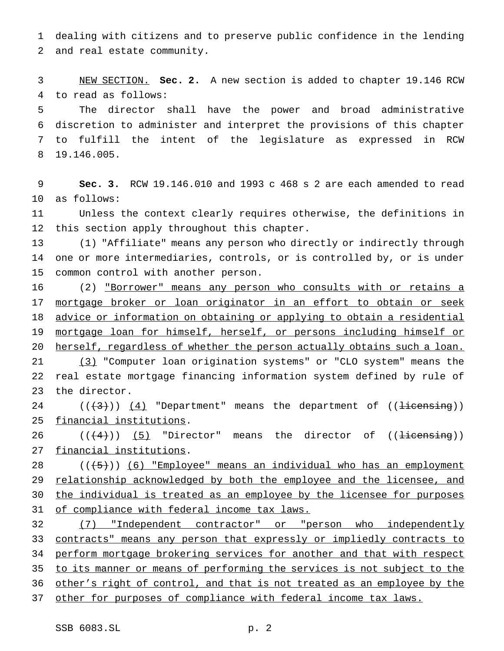dealing with citizens and to preserve public confidence in the lending and real estate community.

 NEW SECTION. **Sec. 2.** A new section is added to chapter 19.146 RCW to read as follows:

 The director shall have the power and broad administrative discretion to administer and interpret the provisions of this chapter to fulfill the intent of the legislature as expressed in RCW 19.146.005.

 **Sec. 3.** RCW 19.146.010 and 1993 c 468 s 2 are each amended to read as follows:

 Unless the context clearly requires otherwise, the definitions in this section apply throughout this chapter.

 (1) "Affiliate" means any person who directly or indirectly through one or more intermediaries, controls, or is controlled by, or is under common control with another person.

16 (2) "Borrower" means any person who consults with or retains a 17 mortgage broker or loan originator in an effort to obtain or seek 18 advice or information on obtaining or applying to obtain a residential mortgage loan for himself, herself, or persons including himself or 20 herself, regardless of whether the person actually obtains such a loan. (3) "Computer loan origination systems" or "CLO system" means the

 real estate mortgage financing information system defined by rule of the director.

24  $((+3))$   $(4)$  "Department" means the department of  $((+3))$ financial institutions.

 $((+4))$  (5) "Director" means the director of  $((+4))$ 27 financial institutions.

 ( $(\frac{+5}{})$ ) (6) "Employee" means an individual who has an employment 29 relationship acknowledged by both the employee and the licensee, and 30 the individual is treated as an employee by the licensee for purposes 31 of compliance with federal income tax laws.

 (7) "Independent contractor" or "person who independently contracts" means any person that expressly or impliedly contracts to 34 perform mortgage brokering services for another and that with respect 35 to its manner or means of performing the services is not subject to the other's right of control, and that is not treated as an employee by the 37 other for purposes of compliance with federal income tax laws.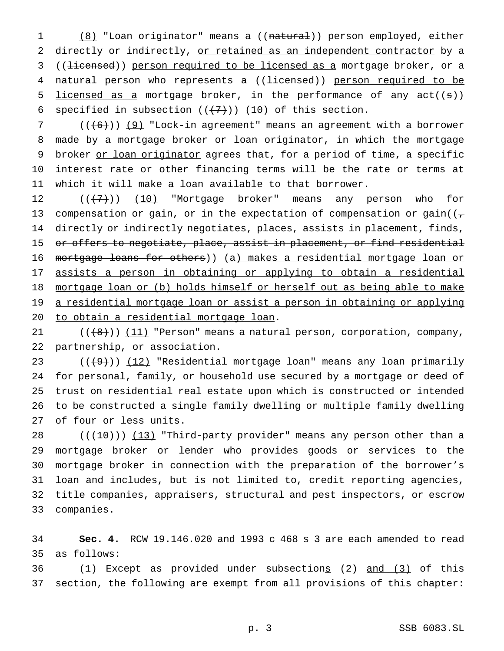1 (8) "Loan originator" means a ((natural)) person employed, either 2 directly or indirectly, or retained as an independent contractor by a 3 ((<del>licensed</del>)) person required to be licensed as a mortgage broker, or a 4 natural person who represents a ((<del>licensed</del>)) person required to be 5 licensed as a mortgage broker, in the performance of any  $act((s))$ 6 specified in subsection  $((+7))$   $(10)$  of this section.

7 ( $(\overline{6})$ ) (9) "Lock-in agreement" means an agreement with a borrower 8 made by a mortgage broker or loan originator, in which the mortgage 9 broker or loan originator agrees that, for a period of time, a specific 10 interest rate or other financing terms will be the rate or terms at 11 which it will make a loan available to that borrower.

12 (( $(7)$ )) (10) "Mortgage broker" means any person who for 13 compensation or gain, or in the expectation of compensation or gain( $(\tau$ 14 directly or indirectly negotiates, places, assists in placement, finds, 15 or offers to negotiate, place, assist in placement, or find residential 16 mortgage loans for others)) (a) makes a residential mortgage loan or 17 assists a person in obtaining or applying to obtain a residential 18 mortgage loan or (b) holds himself or herself out as being able to make 19 a residential mortgage loan or assist a person in obtaining or applying 20 to obtain a residential mortgage loan.

21  $((+8))$   $(11)$  "Person" means a natural person, corporation, company, 22 partnership, or association.

 $((+9))$   $(12)$  "Residential mortgage loan" means any loan primarily for personal, family, or household use secured by a mortgage or deed of trust on residential real estate upon which is constructed or intended to be constructed a single family dwelling or multiple family dwelling of four or less units.

 $((+10))$   $(13)$  "Third-party provider" means any person other than a mortgage broker or lender who provides goods or services to the mortgage broker in connection with the preparation of the borrower's loan and includes, but is not limited to, credit reporting agencies, title companies, appraisers, structural and pest inspectors, or escrow companies.

34 **Sec. 4.** RCW 19.146.020 and 1993 c 468 s 3 are each amended to read 35 as follows:

36 (1) Except as provided under subsections (2) and (3) of this 37 section, the following are exempt from all provisions of this chapter: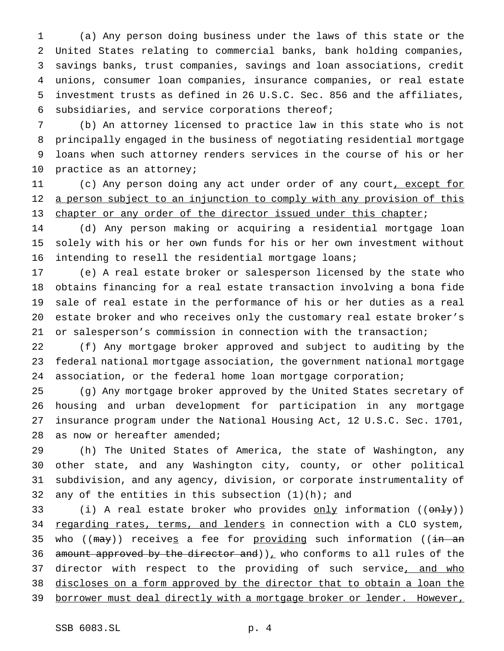(a) Any person doing business under the laws of this state or the United States relating to commercial banks, bank holding companies, savings banks, trust companies, savings and loan associations, credit unions, consumer loan companies, insurance companies, or real estate investment trusts as defined in 26 U.S.C. Sec. 856 and the affiliates, subsidiaries, and service corporations thereof;

 (b) An attorney licensed to practice law in this state who is not principally engaged in the business of negotiating residential mortgage loans when such attorney renders services in the course of his or her practice as an attorney;

11 (c) Any person doing any act under order of any court, except for 12 a person subject to an injunction to comply with any provision of this 13 chapter or any order of the director issued under this chapter;

 (d) Any person making or acquiring a residential mortgage loan solely with his or her own funds for his or her own investment without intending to resell the residential mortgage loans;

 (e) A real estate broker or salesperson licensed by the state who obtains financing for a real estate transaction involving a bona fide sale of real estate in the performance of his or her duties as a real estate broker and who receives only the customary real estate broker's or salesperson's commission in connection with the transaction;

 (f) Any mortgage broker approved and subject to auditing by the federal national mortgage association, the government national mortgage association, or the federal home loan mortgage corporation;

 (g) Any mortgage broker approved by the United States secretary of housing and urban development for participation in any mortgage insurance program under the National Housing Act, 12 U.S.C. Sec. 1701, 28 as now or hereafter amended;

 (h) The United States of America, the state of Washington, any other state, and any Washington city, county, or other political subdivision, and any agency, division, or corporate instrumentality of 32 any of the entities in this subsection  $(1)(h)$ ; and

33 (i) A real estate broker who provides only information ((only)) 34 regarding rates, terms, and lenders in connection with a CLO system, 35 who ( $(\text{max})$ ) receives a fee for providing such information ( $(\text{in an})$ 36 amount approved by the director and))<sub> $\mu$ </sub> who conforms to all rules of the 37 director with respect to the providing of such service, and who discloses on a form approved by the director that to obtain a loan the 39 borrower must deal directly with a mortgage broker or lender. However,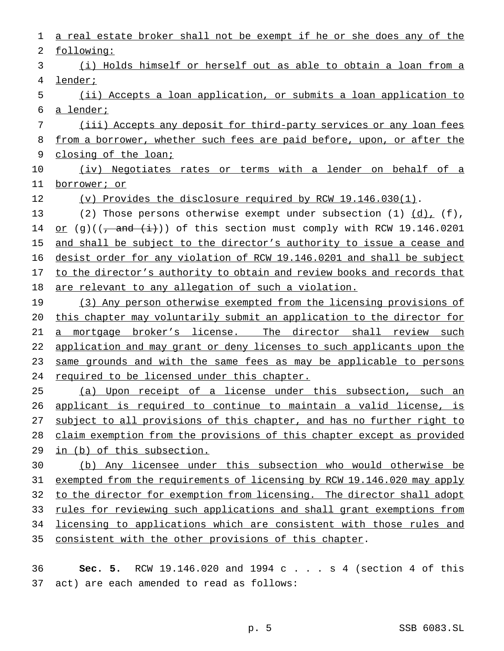following: (i) Holds himself or herself out as able to obtain a loan from a lender; (ii) Accepts a loan application, or submits a loan application to a lender; (iii) Accepts any deposit for third-party services or any loan fees 8 from a borrower, whether such fees are paid before, upon, or after the closing of the loan; 10 (iv) Negotiates rates or terms with a lender on behalf of a borrower; or (v) Provides the disclosure required by RCW 19.146.030(1). 13 (2) Those persons otherwise exempt under subsection  $(1)$   $(d)$ ,  $(f)$ , 14 or (g)( $(-\text{ and } (i))$ ) of this section must comply with RCW 19.146.0201 15 and shall be subject to the director's authority to issue a cease and desist order for any violation of RCW 19.146.0201 and shall be subject 17 to the director's authority to obtain and review books and records that are relevant to any allegation of such a violation. (3) Any person otherwise exempted from the licensing provisions of this chapter may voluntarily submit an application to the director for 21 a mortgage broker's license. The director shall review such application and may grant or deny licenses to such applicants upon the 23 same grounds and with the same fees as may be applicable to persons 24 required to be licensed under this chapter. (a) Upon receipt of a license under this subsection, such an applicant is required to continue to maintain a valid license, is 27 subject to all provisions of this chapter, and has no further right to claim exemption from the provisions of this chapter except as provided in (b) of this subsection. (b) Any licensee under this subsection who would otherwise be exempted from the requirements of licensing by RCW 19.146.020 may apply 32 to the director for exemption from licensing. The director shall adopt rules for reviewing such applications and shall grant exemptions from licensing to applications which are consistent with those rules and consistent with the other provisions of this chapter.

a real estate broker shall not be exempt if he or she does any of the

 **Sec. 5.** RCW 19.146.020 and 1994 c . . . s 4 (section 4 of this act) are each amended to read as follows: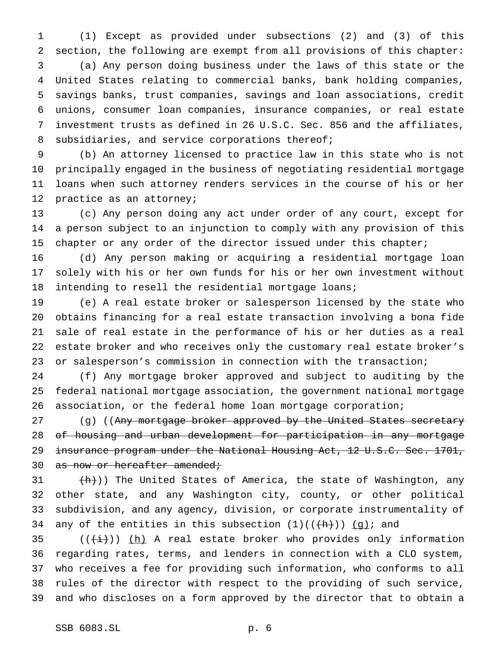(1) Except as provided under subsections (2) and (3) of this section, the following are exempt from all provisions of this chapter: (a) Any person doing business under the laws of this state or the United States relating to commercial banks, bank holding companies, savings banks, trust companies, savings and loan associations, credit unions, consumer loan companies, insurance companies, or real estate investment trusts as defined in 26 U.S.C. Sec. 856 and the affiliates, 8 subsidiaries, and service corporations thereof;

 (b) An attorney licensed to practice law in this state who is not principally engaged in the business of negotiating residential mortgage loans when such attorney renders services in the course of his or her practice as an attorney;

 (c) Any person doing any act under order of any court, except for a person subject to an injunction to comply with any provision of this 15 chapter or any order of the director issued under this chapter;

 (d) Any person making or acquiring a residential mortgage loan solely with his or her own funds for his or her own investment without intending to resell the residential mortgage loans;

 (e) A real estate broker or salesperson licensed by the state who obtains financing for a real estate transaction involving a bona fide sale of real estate in the performance of his or her duties as a real estate broker and who receives only the customary real estate broker's or salesperson's commission in connection with the transaction;

 (f) Any mortgage broker approved and subject to auditing by the federal national mortgage association, the government national mortgage association, or the federal home loan mortgage corporation;

27 (g) ((Any mortgage broker approved by the United States secretary of housing and urban development for participation in any mortgage 29 insurance program under the National Housing Act, 12 U.S.C. Sec. 1701, 30 as now or hereafter amended;

 $(h)$ )) The United States of America, the state of Washington, any other state, and any Washington city, county, or other political subdivision, and any agency, division, or corporate instrumentality of 34 any of the entities in this subsection  $(1)((\{h\}))$   $(g)$ ; and

35 ( $(\frac{1}{i})$ ) (h) A real estate broker who provides only information regarding rates, terms, and lenders in connection with a CLO system, who receives a fee for providing such information, who conforms to all rules of the director with respect to the providing of such service, and who discloses on a form approved by the director that to obtain a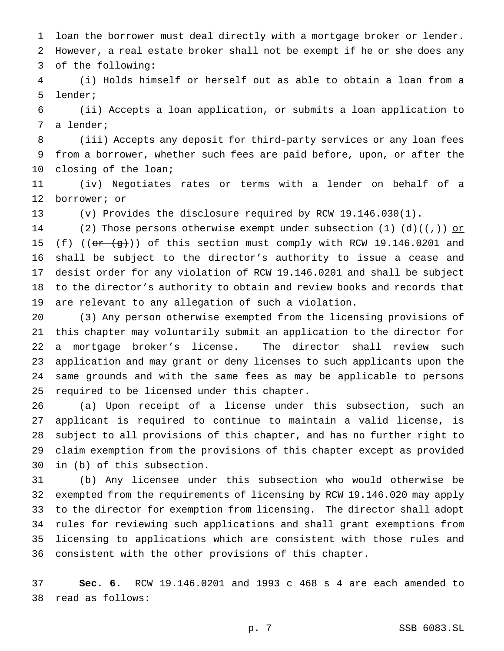loan the borrower must deal directly with a mortgage broker or lender. However, a real estate broker shall not be exempt if he or she does any

of the following:

 (i) Holds himself or herself out as able to obtain a loan from a lender;

 (ii) Accepts a loan application, or submits a loan application to a lender;

 (iii) Accepts any deposit for third-party services or any loan fees from a borrower, whether such fees are paid before, upon, or after the closing of the loan;

 (iv) Negotiates rates or terms with a lender on behalf of a borrower; or

(v) Provides the disclosure required by RCW 19.146.030(1).

14 (2) Those persons otherwise exempt under subsection (1) (d)( $(\tau)$ ) or 15 (f) (( $\sigma$ r  $(g)$ )) of this section must comply with RCW 19.146.0201 and shall be subject to the director's authority to issue a cease and desist order for any violation of RCW 19.146.0201 and shall be subject to the director's authority to obtain and review books and records that are relevant to any allegation of such a violation.

 (3) Any person otherwise exempted from the licensing provisions of this chapter may voluntarily submit an application to the director for a mortgage broker's license. The director shall review such application and may grant or deny licenses to such applicants upon the same grounds and with the same fees as may be applicable to persons required to be licensed under this chapter.

 (a) Upon receipt of a license under this subsection, such an applicant is required to continue to maintain a valid license, is subject to all provisions of this chapter, and has no further right to claim exemption from the provisions of this chapter except as provided in (b) of this subsection.

 (b) Any licensee under this subsection who would otherwise be exempted from the requirements of licensing by RCW 19.146.020 may apply to the director for exemption from licensing. The director shall adopt rules for reviewing such applications and shall grant exemptions from licensing to applications which are consistent with those rules and consistent with the other provisions of this chapter.

 **Sec. 6.** RCW 19.146.0201 and 1993 c 468 s 4 are each amended to read as follows: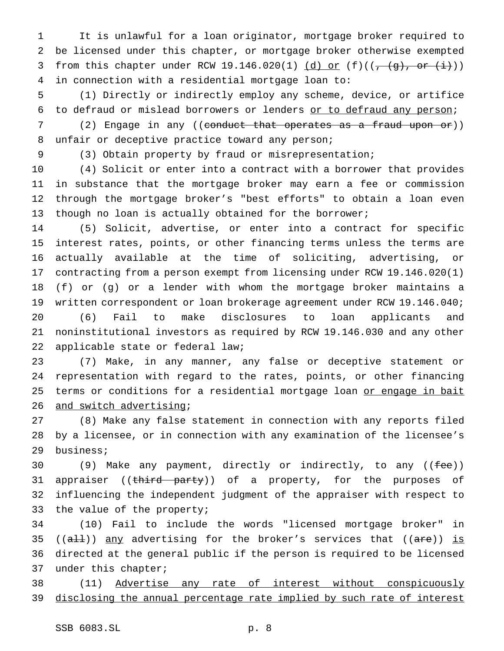It is unlawful for a loan originator, mortgage broker required to be licensed under this chapter, or mortgage broker otherwise exempted 3 from this chapter under RCW 19.146.020(1)  $(d)$  or (f)(( $\frac{1}{(d)$ , or  $(i)$ )) in connection with a residential mortgage loan to:

 (1) Directly or indirectly employ any scheme, device, or artifice to defraud or mislead borrowers or lenders or to defraud any person;

7 (2) Engage in any ((conduct that operates as a fraud upon or)) unfair or deceptive practice toward any person;

(3) Obtain property by fraud or misrepresentation;

 (4) Solicit or enter into a contract with a borrower that provides in substance that the mortgage broker may earn a fee or commission through the mortgage broker's "best efforts" to obtain a loan even though no loan is actually obtained for the borrower;

 (5) Solicit, advertise, or enter into a contract for specific interest rates, points, or other financing terms unless the terms are actually available at the time of soliciting, advertising, or contracting from a person exempt from licensing under RCW 19.146.020(1) (f) or (g) or a lender with whom the mortgage broker maintains a written correspondent or loan brokerage agreement under RCW 19.146.040; (6) Fail to make disclosures to loan applicants and noninstitutional investors as required by RCW 19.146.030 and any other

applicable state or federal law;

 (7) Make, in any manner, any false or deceptive statement or representation with regard to the rates, points, or other financing 25 terms or conditions for a residential mortgage loan or engage in bait and switch advertising;

 (8) Make any false statement in connection with any reports filed by a licensee, or in connection with any examination of the licensee's business;

30 (9) Make any payment, directly or indirectly, to any ((fee)) 31 appraiser ((third party)) of a property, for the purposes of influencing the independent judgment of the appraiser with respect to 33 the value of the property;

 (10) Fail to include the words "licensed mortgage broker" in 35 (( $aH$ )) any advertising for the broker's services that (( $aFe$ )) is directed at the general public if the person is required to be licensed under this chapter;

 (11) Advertise any rate of interest without conspicuously 39 disclosing the annual percentage rate implied by such rate of interest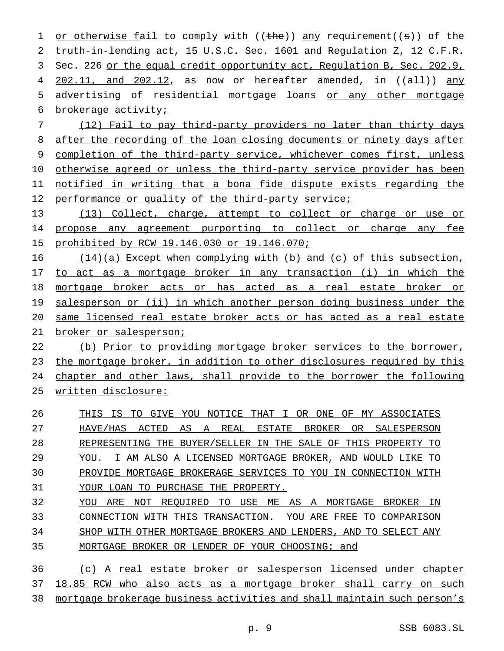1 or otherwise fail to comply with  $((the))$  any requirement( $(s)$ ) of the truth-in-lending act, 15 U.S.C. Sec. 1601 and Regulation Z, 12 C.F.R. Sec. 226 or the equal credit opportunity act, Regulation B, Sec. 202.9,  $202.11$ , and  $202.12$ , as now or hereafter amended, in  $((aH))$  any 5 advertising of residential mortgage loans or any other mortgage brokerage activity;

 (12) Fail to pay third-party providers no later than thirty days 8 after the recording of the loan closing documents or ninety days after completion of the third-party service, whichever comes first, unless otherwise agreed or unless the third-party service provider has been notified in writing that a bona fide dispute exists regarding the 12 performance or quality of the third-party service;

 (13) Collect, charge, attempt to collect or charge or use or propose any agreement purporting to collect or charge any fee prohibited by RCW 19.146.030 or 19.146.070;

 (14)(a) Except when complying with (b) and (c) of this subsection, to act as a mortgage broker in any transaction (i) in which the mortgage broker acts or has acted as a real estate broker or 19 salesperson or (ii) in which another person doing business under the same licensed real estate broker acts or has acted as a real estate 21 broker or salesperson;

 (b) Prior to providing mortgage broker services to the borrower, the mortgage broker, in addition to other disclosures required by this chapter and other laws, shall provide to the borrower the following written disclosure:

 THIS IS TO GIVE YOU NOTICE THAT I OR ONE OF MY ASSOCIATES HAVE/HAS ACTED AS A REAL ESTATE BROKER OR SALESPERSON REPRESENTING THE BUYER/SELLER IN THE SALE OF THIS PROPERTY TO YOU. I AM ALSO A LICENSED MORTGAGE BROKER, AND WOULD LIKE TO PROVIDE MORTGAGE BROKERAGE SERVICES TO YOU IN CONNECTION WITH YOUR LOAN TO PURCHASE THE PROPERTY. YOU ARE NOT REQUIRED TO USE ME AS A MORTGAGE BROKER IN CONNECTION WITH THIS TRANSACTION. YOU ARE FREE TO COMPARISON

SHOP WITH OTHER MORTGAGE BROKERS AND LENDERS, AND TO SELECT ANY

MORTGAGE BROKER OR LENDER OF YOUR CHOOSING; and

 (c) A real estate broker or salesperson licensed under chapter 18.85 RCW who also acts as a mortgage broker shall carry on such mortgage brokerage business activities and shall maintain such person's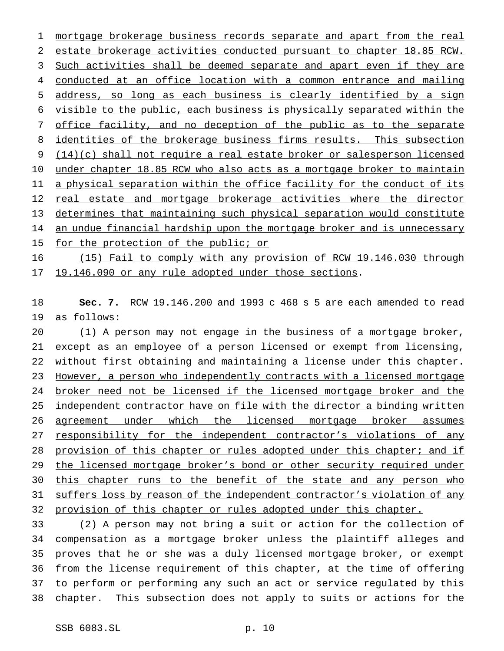mortgage brokerage business records separate and apart from the real estate brokerage activities conducted pursuant to chapter 18.85 RCW. 3 Such activities shall be deemed separate and apart even if they are conducted at an office location with a common entrance and mailing address, so long as each business is clearly identified by a sign visible to the public, each business is physically separated within the office facility, and no deception of the public as to the separate 8 identities of the brokerage business firms results. This subsection 9 (14)(c) shall not require a real estate broker or salesperson licensed 10 under chapter 18.85 RCW who also acts as a mortgage broker to maintain 11 a physical separation within the office facility for the conduct of its 12 real estate and mortgage brokerage activities where the director determines that maintaining such physical separation would constitute 14 an undue financial hardship upon the mortgage broker and is unnecessary 15 for the protection of the public; or

 (15) Fail to comply with any provision of RCW 19.146.030 through 19.146.090 or any rule adopted under those sections.

 **Sec. 7.** RCW 19.146.200 and 1993 c 468 s 5 are each amended to read as follows:

 (1) A person may not engage in the business of a mortgage broker, except as an employee of a person licensed or exempt from licensing, without first obtaining and maintaining a license under this chapter. However, a person who independently contracts with a licensed mortgage 24 broker need not be licensed if the licensed mortgage broker and the 25 independent contractor have on file with the director a binding written agreement under which the licensed mortgage broker assumes 27 responsibility for the independent contractor's violations of any 28 provision of this chapter or rules adopted under this chapter; and if 29 the licensed mortgage broker's bond or other security required under this chapter runs to the benefit of the state and any person who suffers loss by reason of the independent contractor's violation of any provision of this chapter or rules adopted under this chapter.

 (2) A person may not bring a suit or action for the collection of compensation as a mortgage broker unless the plaintiff alleges and proves that he or she was a duly licensed mortgage broker, or exempt from the license requirement of this chapter, at the time of offering to perform or performing any such an act or service regulated by this chapter. This subsection does not apply to suits or actions for the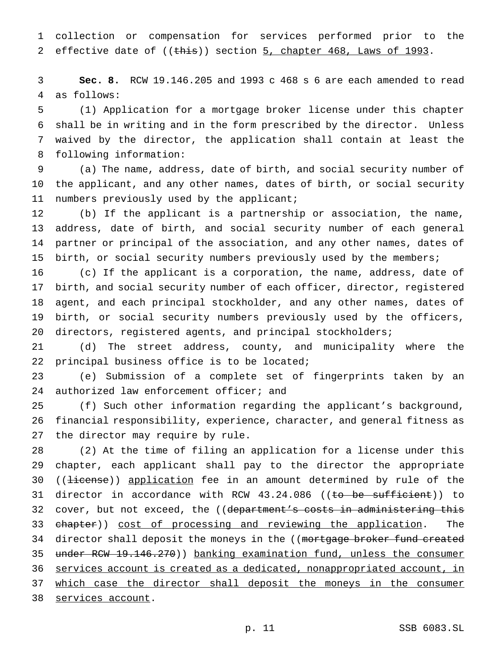collection or compensation for services performed prior to the 2 effective date of ((this)) section 5, chapter 468, Laws of 1993.

 **Sec. 8.** RCW 19.146.205 and 1993 c 468 s 6 are each amended to read as follows:

 (1) Application for a mortgage broker license under this chapter shall be in writing and in the form prescribed by the director. Unless waived by the director, the application shall contain at least the following information:

 (a) The name, address, date of birth, and social security number of the applicant, and any other names, dates of birth, or social security numbers previously used by the applicant;

 (b) If the applicant is a partnership or association, the name, address, date of birth, and social security number of each general partner or principal of the association, and any other names, dates of birth, or social security numbers previously used by the members;

 (c) If the applicant is a corporation, the name, address, date of birth, and social security number of each officer, director, registered agent, and each principal stockholder, and any other names, dates of birth, or social security numbers previously used by the officers, directors, registered agents, and principal stockholders;

 (d) The street address, county, and municipality where the principal business office is to be located;

 (e) Submission of a complete set of fingerprints taken by an 24 authorized law enforcement officer; and

 (f) Such other information regarding the applicant's background, financial responsibility, experience, character, and general fitness as the director may require by rule.

 (2) At the time of filing an application for a license under this chapter, each applicant shall pay to the director the appropriate 30 ((<del>license</del>)) application fee in an amount determined by rule of the 31 director in accordance with RCW 43.24.086 ((to be sufficient)) to 32 cover, but not exceed, the ((department's costs in administering this 33 chapter)) cost of processing and reviewing the application. The 34 director shall deposit the moneys in the ((mortgage broker fund created 35 under RCW 19.146.270)) banking examination fund, unless the consumer services account is created as a dedicated, nonappropriated account, in which case the director shall deposit the moneys in the consumer services account.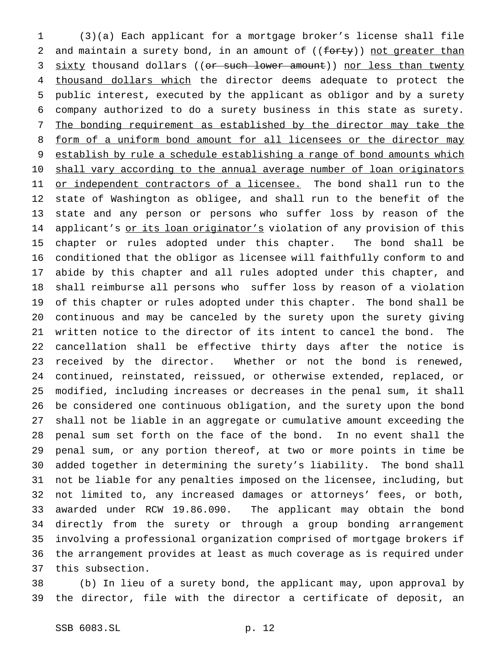(3)(a) Each applicant for a mortgage broker's license shall file 2 and maintain a surety bond, in an amount of  $((f<sub>orty</sub>))$  not greater than 3 sixty thousand dollars ((or such lower amount)) nor less than twenty 4 thousand dollars which the director deems adequate to protect the public interest, executed by the applicant as obligor and by a surety company authorized to do a surety business in this state as surety. The bonding requirement as established by the director may take the 8 form of a uniform bond amount for all licensees or the director may 9 establish by rule a schedule establishing a range of bond amounts which 10 shall vary according to the annual average number of loan originators 11 or independent contractors of a licensee. The bond shall run to the state of Washington as obligee, and shall run to the benefit of the state and any person or persons who suffer loss by reason of the 14 applicant's or its loan originator's violation of any provision of this chapter or rules adopted under this chapter. The bond shall be conditioned that the obligor as licensee will faithfully conform to and abide by this chapter and all rules adopted under this chapter, and shall reimburse all persons who suffer loss by reason of a violation of this chapter or rules adopted under this chapter. The bond shall be continuous and may be canceled by the surety upon the surety giving written notice to the director of its intent to cancel the bond. The cancellation shall be effective thirty days after the notice is received by the director. Whether or not the bond is renewed, continued, reinstated, reissued, or otherwise extended, replaced, or modified, including increases or decreases in the penal sum, it shall be considered one continuous obligation, and the surety upon the bond shall not be liable in an aggregate or cumulative amount exceeding the penal sum set forth on the face of the bond. In no event shall the penal sum, or any portion thereof, at two or more points in time be added together in determining the surety's liability. The bond shall not be liable for any penalties imposed on the licensee, including, but not limited to, any increased damages or attorneys' fees, or both, awarded under RCW 19.86.090. The applicant may obtain the bond directly from the surety or through a group bonding arrangement involving a professional organization comprised of mortgage brokers if the arrangement provides at least as much coverage as is required under this subsection.

 (b) In lieu of a surety bond, the applicant may, upon approval by the director, file with the director a certificate of deposit, an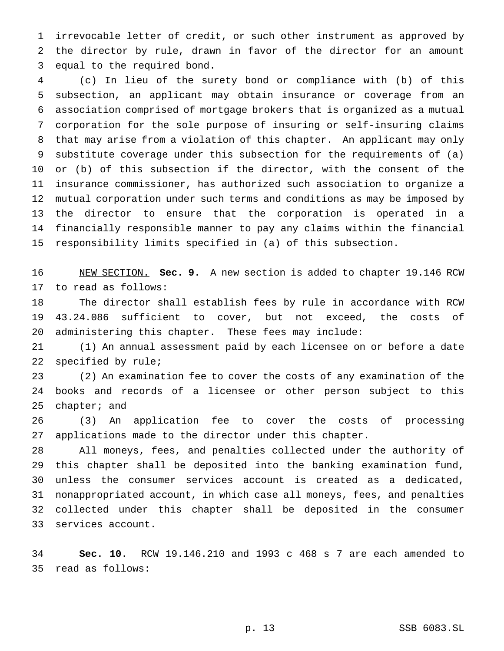irrevocable letter of credit, or such other instrument as approved by the director by rule, drawn in favor of the director for an amount equal to the required bond.

 (c) In lieu of the surety bond or compliance with (b) of this subsection, an applicant may obtain insurance or coverage from an association comprised of mortgage brokers that is organized as a mutual corporation for the sole purpose of insuring or self-insuring claims that may arise from a violation of this chapter. An applicant may only substitute coverage under this subsection for the requirements of (a) or (b) of this subsection if the director, with the consent of the insurance commissioner, has authorized such association to organize a mutual corporation under such terms and conditions as may be imposed by the director to ensure that the corporation is operated in a financially responsible manner to pay any claims within the financial responsibility limits specified in (a) of this subsection.

 NEW SECTION. **Sec. 9.** A new section is added to chapter 19.146 RCW to read as follows:

 The director shall establish fees by rule in accordance with RCW 43.24.086 sufficient to cover, but not exceed, the costs of administering this chapter. These fees may include:

 (1) An annual assessment paid by each licensee on or before a date specified by rule;

 (2) An examination fee to cover the costs of any examination of the books and records of a licensee or other person subject to this chapter; and

 (3) An application fee to cover the costs of processing applications made to the director under this chapter.

 All moneys, fees, and penalties collected under the authority of this chapter shall be deposited into the banking examination fund, unless the consumer services account is created as a dedicated, nonappropriated account, in which case all moneys, fees, and penalties collected under this chapter shall be deposited in the consumer services account.

 **Sec. 10.** RCW 19.146.210 and 1993 c 468 s 7 are each amended to read as follows: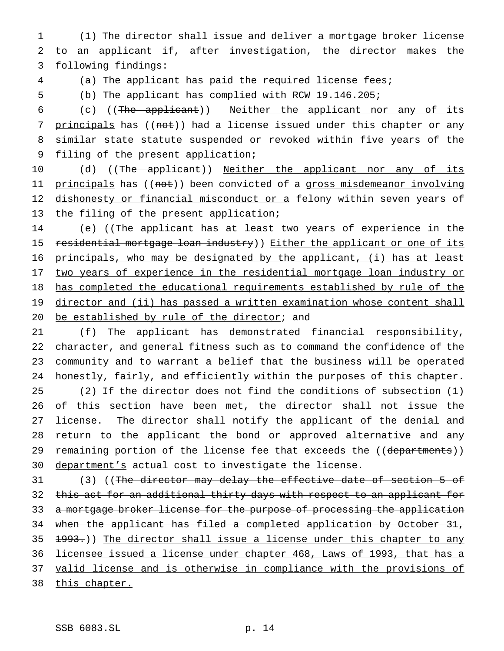(1) The director shall issue and deliver a mortgage broker license to an applicant if, after investigation, the director makes the following findings:

(a) The applicant has paid the required license fees;

(b) The applicant has complied with RCW 19.146.205;

 (c) ((The applicant)) Neither the applicant nor any of its 7 principals has ((not)) had a license issued under this chapter or any similar state statute suspended or revoked within five years of the filing of the present application;

10 (d) ((The applicant)) Neither the applicant nor any of its 11 principals has ((not)) been convicted of a gross misdemeanor involving 12 dishonesty or financial misconduct or a felony within seven years of the filing of the present application;

 (e) ((The applicant has at least two years of experience in the 15 residential mortgage loan industry)) Either the applicant or one of its principals, who may be designated by the applicant, (i) has at least two years of experience in the residential mortgage loan industry or has completed the educational requirements established by rule of the 19 director and (ii) has passed a written examination whose content shall 20 be established by rule of the director; and

 (f) The applicant has demonstrated financial responsibility, character, and general fitness such as to command the confidence of the community and to warrant a belief that the business will be operated honestly, fairly, and efficiently within the purposes of this chapter. (2) If the director does not find the conditions of subsection (1) of this section have been met, the director shall not issue the license. The director shall notify the applicant of the denial and return to the applicant the bond or approved alternative and any 29 remaining portion of the license fee that exceeds the ((departments)) 30 department's actual cost to investigate the license.

31 (3) ((The director may delay the effective date of section 5 of this act for an additional thirty days with respect to an applicant for 33 a mortgage broker license for the purpose of processing the application when the applicant has filed a completed application by October 31,  $\lbrace 4993. \rbrace$ ) The director shall issue a license under this chapter to any licensee issued a license under chapter 468, Laws of 1993, that has a 37 valid license and is otherwise in compliance with the provisions of this chapter.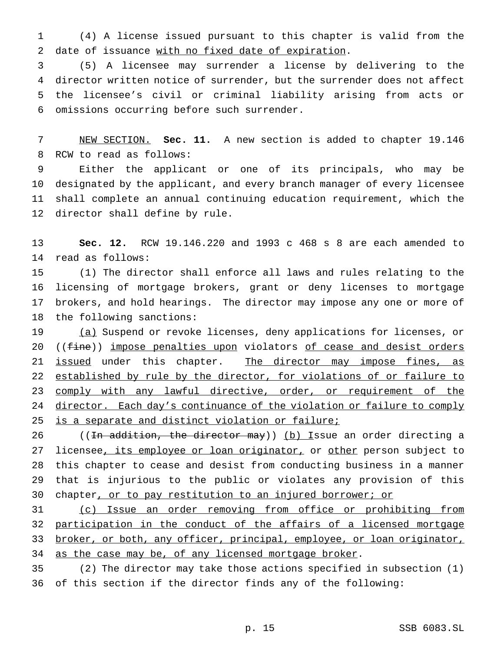(4) A license issued pursuant to this chapter is valid from the date of issuance with no fixed date of expiration.

 (5) A licensee may surrender a license by delivering to the director written notice of surrender, but the surrender does not affect the licensee's civil or criminal liability arising from acts or omissions occurring before such surrender.

 NEW SECTION. **Sec. 11.** A new section is added to chapter 19.146 RCW to read as follows:

 Either the applicant or one of its principals, who may be designated by the applicant, and every branch manager of every licensee shall complete an annual continuing education requirement, which the director shall define by rule.

 **Sec. 12.** RCW 19.146.220 and 1993 c 468 s 8 are each amended to read as follows:

 (1) The director shall enforce all laws and rules relating to the licensing of mortgage brokers, grant or deny licenses to mortgage brokers, and hold hearings. The director may impose any one or more of the following sanctions:

19 (a) Suspend or revoke licenses, deny applications for licenses, or 20 ((fine)) impose penalties upon violators of cease and desist orders 21 issued under this chapter. The director may impose fines, as 22 established by rule by the director, for violations of or failure to 23 comply with any lawful directive, order, or requirement of the 24 director. Each day's continuance of the violation or failure to comply 25 is a separate and distinct violation or failure;

26 ((In addition, the director may)) (b) Issue an order directing a 27 licensee, its employee or loan originator, or other person subject to this chapter to cease and desist from conducting business in a manner that is injurious to the public or violates any provision of this chapter, or to pay restitution to an injured borrower; or

 (c) Issue an order removing from office or prohibiting from 32 participation in the conduct of the affairs of a licensed mortgage broker, or both, any officer, principal, employee, or loan originator, 34 as the case may be, of any licensed mortgage broker.

 (2) The director may take those actions specified in subsection (1) of this section if the director finds any of the following: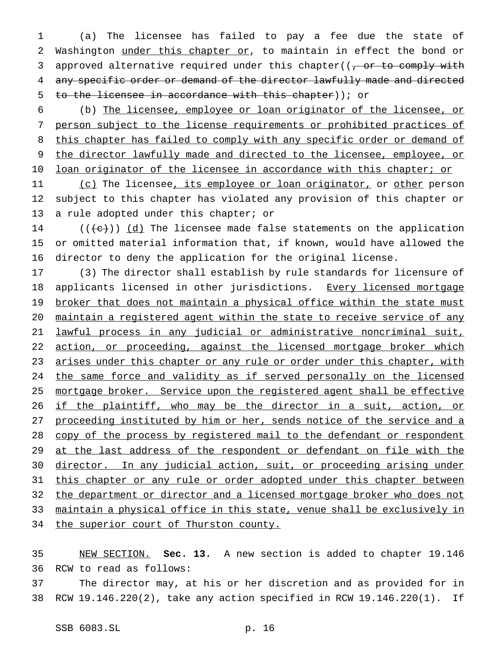1 (a) The licensee has failed to pay a fee due the state of 2 Washington under this chapter or, to maintain in effect the bond or 3 approved alternative required under this chapter( $\frac{1}{100}$  or to comply with 4 any specific order or demand of the director lawfully made and directed 5 to the licensee in accordance with this chapter)); or

6 (b) The licensee, employee or loan originator of the licensee, or 7 person subject to the license requirements or prohibited practices of 8 this chapter has failed to comply with any specific order or demand of 9 the director lawfully made and directed to the licensee, employee, or 10 loan originator of the licensee in accordance with this chapter; or

11 (c) The licensee, its employee or loan originator, or other person 12 subject to this chapter has violated any provision of this chapter or 13 a rule adopted under this chapter; or

14  $((+e))$   $(d)$  The licensee made false statements on the application 15 or omitted material information that, if known, would have allowed the 16 director to deny the application for the original license.

17 (3) The director shall establish by rule standards for licensure of 18 applicants licensed in other jurisdictions. Every licensed mortgage 19 broker that does not maintain a physical office within the state must 20 maintain a registered agent within the state to receive service of any 21 lawful process in any judicial or administrative noncriminal suit, 22 action, or proceeding, against the licensed mortgage broker which 23 arises under this chapter or any rule or order under this chapter, with 24 the same force and validity as if served personally on the licensed 25 mortgage broker. Service upon the registered agent shall be effective 26 if the plaintiff, who may be the director in a suit, action, or 27 proceeding instituted by him or her, sends notice of the service and a 28 copy of the process by registered mail to the defendant or respondent 29 at the last address of the respondent or defendant on file with the 30 director. In any judicial action, suit, or proceeding arising under 31 this chapter or any rule or order adopted under this chapter between 32 the department or director and a licensed mortgage broker who does not 33 maintain a physical office in this state, venue shall be exclusively in 34 the superior court of Thurston county.

35 NEW SECTION. **Sec. 13.** A new section is added to chapter 19.146 36 RCW to read as follows:

37 The director may, at his or her discretion and as provided for in 38 RCW 19.146.220(2), take any action specified in RCW 19.146.220(1). If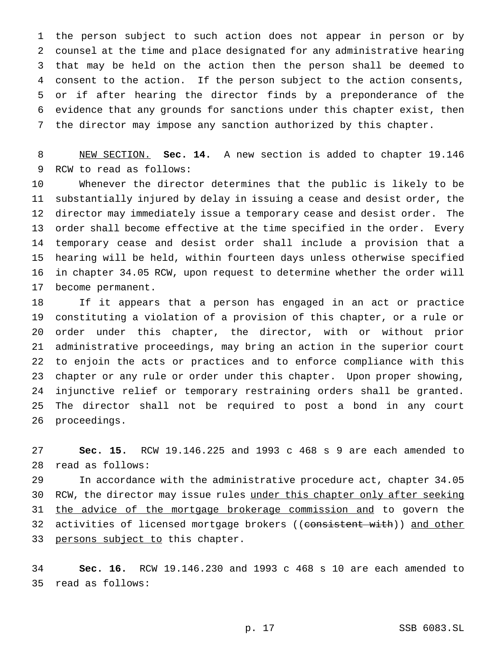the person subject to such action does not appear in person or by counsel at the time and place designated for any administrative hearing that may be held on the action then the person shall be deemed to consent to the action. If the person subject to the action consents, or if after hearing the director finds by a preponderance of the evidence that any grounds for sanctions under this chapter exist, then the director may impose any sanction authorized by this chapter.

 NEW SECTION. **Sec. 14.** A new section is added to chapter 19.146 RCW to read as follows:

 Whenever the director determines that the public is likely to be substantially injured by delay in issuing a cease and desist order, the director may immediately issue a temporary cease and desist order. The order shall become effective at the time specified in the order. Every temporary cease and desist order shall include a provision that a hearing will be held, within fourteen days unless otherwise specified in chapter 34.05 RCW, upon request to determine whether the order will become permanent.

 If it appears that a person has engaged in an act or practice constituting a violation of a provision of this chapter, or a rule or order under this chapter, the director, with or without prior administrative proceedings, may bring an action in the superior court to enjoin the acts or practices and to enforce compliance with this chapter or any rule or order under this chapter. Upon proper showing, injunctive relief or temporary restraining orders shall be granted. The director shall not be required to post a bond in any court proceedings.

 **Sec. 15.** RCW 19.146.225 and 1993 c 468 s 9 are each amended to read as follows:

 In accordance with the administrative procedure act, chapter 34.05 30 RCW, the director may issue rules under this chapter only after seeking 31 the advice of the mortgage brokerage commission and to govern the 32 activities of licensed mortgage brokers ((consistent with)) and other 33 persons subject to this chapter.

 **Sec. 16.** RCW 19.146.230 and 1993 c 468 s 10 are each amended to read as follows: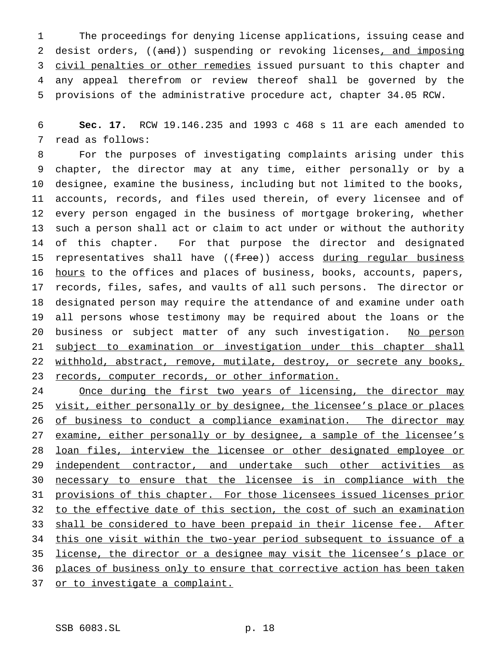1 The proceedings for denying license applications, issuing cease and 2 desist orders, ((and)) suspending or revoking licenses, and imposing 3 civil penalties or other remedies issued pursuant to this chapter and 4 any appeal therefrom or review thereof shall be governed by the 5 provisions of the administrative procedure act, chapter 34.05 RCW.

6 **Sec. 17.** RCW 19.146.235 and 1993 c 468 s 11 are each amended to 7 read as follows:

 For the purposes of investigating complaints arising under this chapter, the director may at any time, either personally or by a designee, examine the business, including but not limited to the books, accounts, records, and files used therein, of every licensee and of every person engaged in the business of mortgage brokering, whether such a person shall act or claim to act under or without the authority of this chapter. For that purpose the director and designated 15 representatives shall have  $((free))$  access during regular business 16 hours to the offices and places of business, books, accounts, papers, records, files, safes, and vaults of all such persons. The director or designated person may require the attendance of and examine under oath all persons whose testimony may be required about the loans or the 20 business or subject matter of any such investigation. No person 21 subject to examination or investigation under this chapter shall 22 withhold, abstract, remove, mutilate, destroy, or secrete any books, 23 records, computer records, or other information.

24 Once during the first two years of licensing, the director may 25 visit, either personally or by designee, the licensee's place or places 26 of business to conduct a compliance examination. The director may 27 examine, either personally or by designee, a sample of the licensee's 28 loan files, interview the licensee or other designated employee or 29 independent contractor, and undertake such other activities as 30 necessary to ensure that the licensee is in compliance with the 31 provisions of this chapter. For those licensees issued licenses prior 32 to the effective date of this section, the cost of such an examination 33 shall be considered to have been prepaid in their license fee. After 34 this one visit within the two-year period subsequent to issuance of a 35 license, the director or a designee may visit the licensee's place or 36 places of business only to ensure that corrective action has been taken 37 or to investigate a complaint.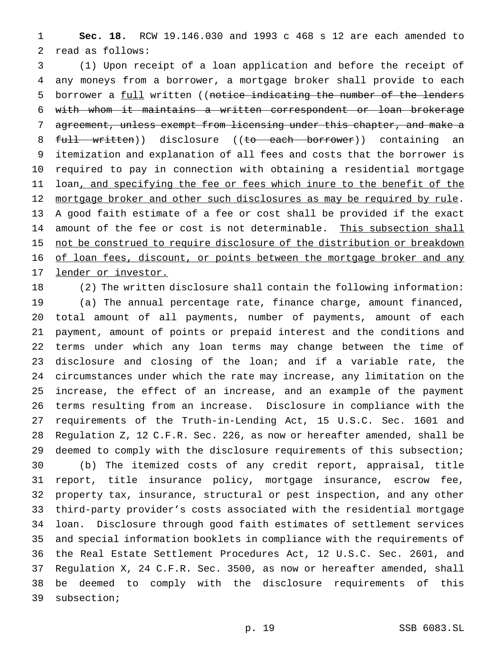**Sec. 18.** RCW 19.146.030 and 1993 c 468 s 12 are each amended to read as follows:

 (1) Upon receipt of a loan application and before the receipt of any moneys from a borrower, a mortgage broker shall provide to each 5 borrower a full written ((notice indicating the number of the lenders with whom it maintains a written correspondent or loan brokerage agreement, unless exempt from licensing under this chapter, and make a 8 full written)) disclosure ((to each borrower)) containing an itemization and explanation of all fees and costs that the borrower is required to pay in connection with obtaining a residential mortgage 11 loan, and specifying the fee or fees which inure to the benefit of the mortgage broker and other such disclosures as may be required by rule. A good faith estimate of a fee or cost shall be provided if the exact 14 amount of the fee or cost is not determinable. This subsection shall 15 not be construed to require disclosure of the distribution or breakdown 16 of loan fees, discount, or points between the mortgage broker and any lender or investor.

 (2) The written disclosure shall contain the following information: (a) The annual percentage rate, finance charge, amount financed, total amount of all payments, number of payments, amount of each payment, amount of points or prepaid interest and the conditions and terms under which any loan terms may change between the time of disclosure and closing of the loan; and if a variable rate, the circumstances under which the rate may increase, any limitation on the increase, the effect of an increase, and an example of the payment terms resulting from an increase. Disclosure in compliance with the requirements of the Truth-in-Lending Act, 15 U.S.C. Sec. 1601 and Regulation Z, 12 C.F.R. Sec. 226, as now or hereafter amended, shall be deemed to comply with the disclosure requirements of this subsection; (b) The itemized costs of any credit report, appraisal, title report, title insurance policy, mortgage insurance, escrow fee, property tax, insurance, structural or pest inspection, and any other third-party provider's costs associated with the residential mortgage loan. Disclosure through good faith estimates of settlement services and special information booklets in compliance with the requirements of the Real Estate Settlement Procedures Act, 12 U.S.C. Sec. 2601, and Regulation X, 24 C.F.R. Sec. 3500, as now or hereafter amended, shall be deemed to comply with the disclosure requirements of this subsection;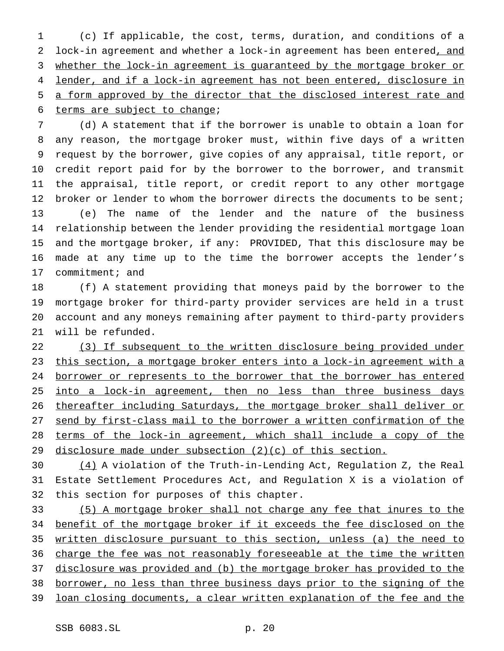(c) If applicable, the cost, terms, duration, and conditions of a 2 lock-in agreement and whether a lock-in agreement has been entered, and whether the lock-in agreement is guaranteed by the mortgage broker or 4 lender, and if a lock-in agreement has not been entered, disclosure in a form approved by the director that the disclosed interest rate and terms are subject to change;

 (d) A statement that if the borrower is unable to obtain a loan for any reason, the mortgage broker must, within five days of a written request by the borrower, give copies of any appraisal, title report, or credit report paid for by the borrower to the borrower, and transmit the appraisal, title report, or credit report to any other mortgage 12 broker or lender to whom the borrower directs the documents to be sent; (e) The name of the lender and the nature of the business relationship between the lender providing the residential mortgage loan and the mortgage broker, if any: PROVIDED, That this disclosure may be made at any time up to the time the borrower accepts the lender's commitment; and

 (f) A statement providing that moneys paid by the borrower to the mortgage broker for third-party provider services are held in a trust account and any moneys remaining after payment to third-party providers will be refunded.

22 (3) If subsequent to the written disclosure being provided under this section, a mortgage broker enters into a lock-in agreement with a 24 borrower or represents to the borrower that the borrower has entered 25 into a lock-in agreement, then no less than three business days thereafter including Saturdays, the mortgage broker shall deliver or send by first-class mail to the borrower a written confirmation of the terms of the lock-in agreement, which shall include a copy of the 29 disclosure made under subsection  $(2)(c)$  of this section.

30  $(4)$  A violation of the Truth-in-Lending Act, Regulation Z, the Real Estate Settlement Procedures Act, and Regulation X is a violation of this section for purposes of this chapter.

 (5) A mortgage broker shall not charge any fee that inures to the 34 benefit of the mortgage broker if it exceeds the fee disclosed on the written disclosure pursuant to this section, unless (a) the need to 36 charge the fee was not reasonably foreseeable at the time the written disclosure was provided and (b) the mortgage broker has provided to the borrower, no less than three business days prior to the signing of the loan closing documents, a clear written explanation of the fee and the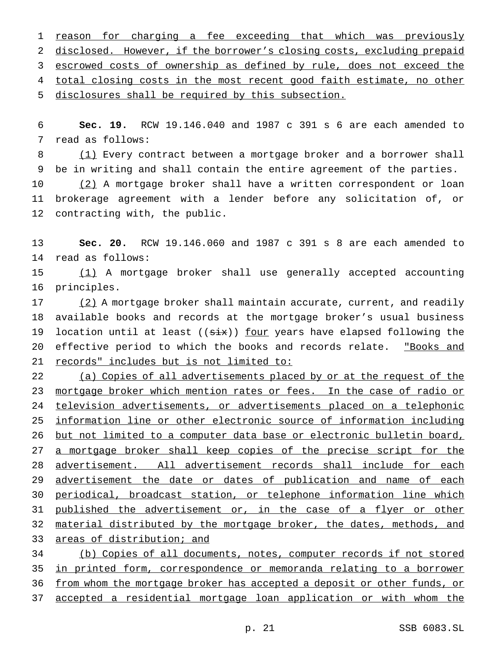1 reason for charging a fee exceeding that which was previously disclosed. However, if the borrower's closing costs, excluding prepaid escrowed costs of ownership as defined by rule, does not exceed the total closing costs in the most recent good faith estimate, no other disclosures shall be required by this subsection.

 **Sec. 19.** RCW 19.146.040 and 1987 c 391 s 6 are each amended to read as follows:

 (1) Every contract between a mortgage broker and a borrower shall be in writing and shall contain the entire agreement of the parties.

10 (2) A mortgage broker shall have a written correspondent or loan brokerage agreement with a lender before any solicitation of, or contracting with, the public.

 **Sec. 20.** RCW 19.146.060 and 1987 c 391 s 8 are each amended to read as follows:

 (1) A mortgage broker shall use generally accepted accounting principles.

17 (2) A mortgage broker shall maintain accurate, current, and readily available books and records at the mortgage broker's usual business 19 location until at least (( $\frac{1}{x}$ )) <u>four</u> years have elapsed following the 20 effective period to which the books and records relate. "Books and records" includes but is not limited to:

22 (a) Copies of all advertisements placed by or at the request of the 23 mortgage broker which mention rates or fees. In the case of radio or television advertisements, or advertisements placed on a telephonic information line or other electronic source of information including but not limited to a computer data base or electronic bulletin board, 27 a mortgage broker shall keep copies of the precise script for the advertisement. All advertisement records shall include for each 29 advertisement the date or dates of publication and name of each periodical, broadcast station, or telephone information line which 31 published the advertisement or, in the case of a flyer or other 32 material distributed by the mortgage broker, the dates, methods, and areas of distribution; and

 (b) Copies of all documents, notes, computer records if not stored in printed form, correspondence or memoranda relating to a borrower from whom the mortgage broker has accepted a deposit or other funds, or accepted a residential mortgage loan application or with whom the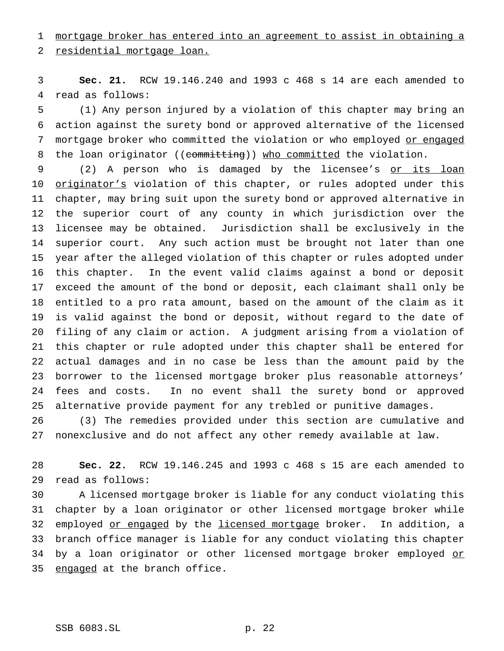mortgage broker has entered into an agreement to assist in obtaining a

residential mortgage loan.

 **Sec. 21.** RCW 19.146.240 and 1993 c 468 s 14 are each amended to read as follows:

 (1) Any person injured by a violation of this chapter may bring an action against the surety bond or approved alternative of the licensed 7 mortgage broker who committed the violation or who employed or engaged 8 the loan originator ((committing)) who committed the violation.

9 (2) A person who is damaged by the licensee's or its loan 10 originator's violation of this chapter, or rules adopted under this chapter, may bring suit upon the surety bond or approved alternative in the superior court of any county in which jurisdiction over the licensee may be obtained. Jurisdiction shall be exclusively in the superior court. Any such action must be brought not later than one year after the alleged violation of this chapter or rules adopted under this chapter. In the event valid claims against a bond or deposit exceed the amount of the bond or deposit, each claimant shall only be entitled to a pro rata amount, based on the amount of the claim as it is valid against the bond or deposit, without regard to the date of filing of any claim or action. A judgment arising from a violation of this chapter or rule adopted under this chapter shall be entered for actual damages and in no case be less than the amount paid by the borrower to the licensed mortgage broker plus reasonable attorneys' fees and costs. In no event shall the surety bond or approved alternative provide payment for any trebled or punitive damages. (3) The remedies provided under this section are cumulative and

nonexclusive and do not affect any other remedy available at law.

 **Sec. 22.** RCW 19.146.245 and 1993 c 468 s 15 are each amended to read as follows:

 A licensed mortgage broker is liable for any conduct violating this chapter by a loan originator or other licensed mortgage broker while 32 employed or engaged by the licensed mortgage broker. In addition, a branch office manager is liable for any conduct violating this chapter 34 by a loan originator or other licensed mortgage broker employed or 35 engaged at the branch office.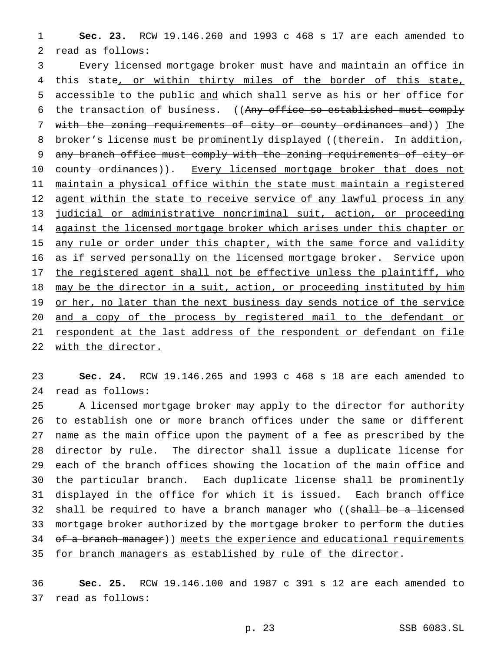1 **Sec. 23.** RCW 19.146.260 and 1993 c 468 s 17 are each amended to 2 read as follows:

3 Every licensed mortgage broker must have and maintain an office in 4 this state, or within thirty miles of the border of this state, 5 accessible to the public and which shall serve as his or her office for 6 the transaction of business. ((Any office so established must comply 7 with the zoning requirements of city or county ordinances and)) The 8 broker's license must be prominently displayed ((therein. In addition, 9 any branch office must comply with the zoning requirements of city or 10 county ordinances)). Every licensed mortgage broker that does not 11 maintain a physical office within the state must maintain a registered 12 agent within the state to receive service of any lawful process in any 13 judicial or administrative noncriminal suit, action, or proceeding 14 against the licensed mortgage broker which arises under this chapter or 15 any rule or order under this chapter, with the same force and validity 16 as if served personally on the licensed mortgage broker. Service upon 17 the registered agent shall not be effective unless the plaintiff, who 18 may be the director in a suit, action, or proceeding instituted by him 19 or her, no later than the next business day sends notice of the service 20 and a copy of the process by registered mail to the defendant or 21 respondent at the last address of the respondent or defendant on file 22 with the director.

23 **Sec. 24.** RCW 19.146.265 and 1993 c 468 s 18 are each amended to 24 read as follows:

 A licensed mortgage broker may apply to the director for authority to establish one or more branch offices under the same or different name as the main office upon the payment of a fee as prescribed by the director by rule. The director shall issue a duplicate license for each of the branch offices showing the location of the main office and the particular branch. Each duplicate license shall be prominently displayed in the office for which it is issued. Each branch office 32 shall be required to have a branch manager who ((shall be a licensed 33 mortgage broker authorized by the mortgage broker to perform the duties 34 of a branch manager)) meets the experience and educational requirements 35 for branch managers as established by rule of the director.

36 **Sec. 25.** RCW 19.146.100 and 1987 c 391 s 12 are each amended to 37 read as follows: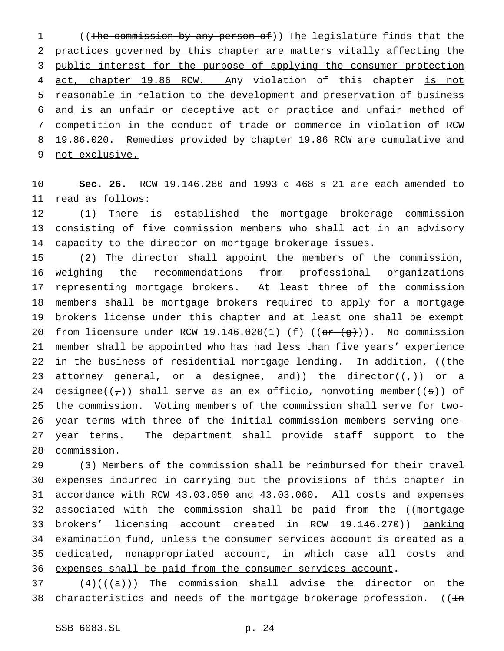((The commission by any person of)) The legislature finds that the practices governed by this chapter are matters vitally affecting the 3 public interest for the purpose of applying the consumer protection 4 act, chapter 19.86 RCW. Any violation of this chapter is not reasonable in relation to the development and preservation of business and is an unfair or deceptive act or practice and unfair method of competition in the conduct of trade or commerce in violation of RCW 8 19.86.020. Remedies provided by chapter 19.86 RCW are cumulative and not exclusive.

 **Sec. 26.** RCW 19.146.280 and 1993 c 468 s 21 are each amended to read as follows:

 (1) There is established the mortgage brokerage commission consisting of five commission members who shall act in an advisory capacity to the director on mortgage brokerage issues.

 (2) The director shall appoint the members of the commission, weighing the recommendations from professional organizations representing mortgage brokers. At least three of the commission members shall be mortgage brokers required to apply for a mortgage brokers license under this chapter and at least one shall be exempt 20 from licensure under RCW 19.146.020(1) (f)  $((or (g))$ . No commission member shall be appointed who has had less than five years' experience 22 in the business of residential mortgage lending. In addition, ((the 23 attorney general, or a designee, and)) the director( $(\tau)$ ) or a 24 designee( $(\tau)$ ) shall serve as <u>an</u> ex officio, nonvoting member( $(\mathbf{s})$ ) of the commission. Voting members of the commission shall serve for two- year terms with three of the initial commission members serving one- year terms. The department shall provide staff support to the commission.

 (3) Members of the commission shall be reimbursed for their travel expenses incurred in carrying out the provisions of this chapter in accordance with RCW 43.03.050 and 43.03.060. All costs and expenses 32 associated with the commission shall be paid from the ((mortgage brokers' licensing account created in RCW 19.146.270)) banking examination fund, unless the consumer services account is created as a dedicated, nonappropriated account, in which case all costs and 36 expenses shall be paid from the consumer services account.

37 (4)( $(\frac{4}{3})$ ) The commission shall advise the director on the 38 characteristics and needs of the mortgage brokerage profession.  $((\text{In}$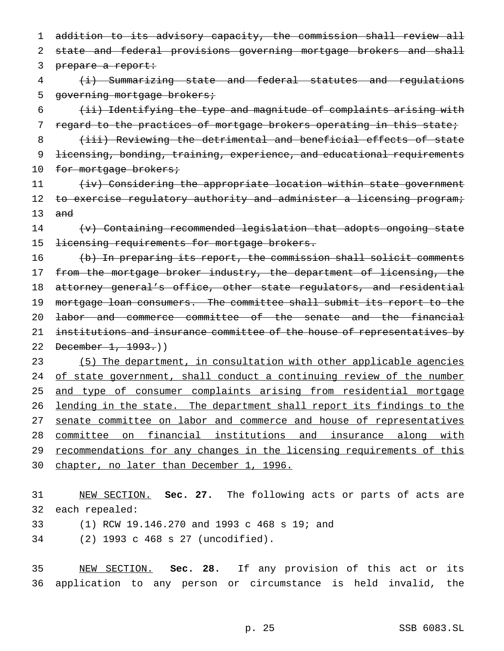1 addition to its advisory capacity, the commission shall review all 2 state and federal provisions governing mortgage brokers and shall 3 prepare a report:

4 (i) Summarizing state and federal statutes and regulations 5 governing mortgage brokers;

 $6$  (ii) Identifying the type and magnitude of complaints arising with 7 regard to the practices of mortgage brokers operating in this state;

8 (iii) Reviewing the detrimental and beneficial effects of state 9 licensing, bonding, training, experience, and educational requirements 10 for mortgage brokers;

11 (iv) Considering the appropriate location within state government 12 to exercise regulatory authority and administer a licensing program; 13 and

14 (v) Containing recommended legislation that adopts ongoing state 15 <del>licensing requirements for mortgage brokers.</del>

16 (b) In preparing its report, the commission shall solicit comments 17 from the mortgage broker industry, the department of licensing, the 18 attorney general's office, other state regulators, and residential 19 mortgage loan consumers. The committee shall submit its report to the 20 labor and commerce committee of the senate and the financial 21 institutions and insurance committee of the house of representatives by 22 December 1, 1993.))

23 (5) The department, in consultation with other applicable agencies 24 of state government, shall conduct a continuing review of the number 25 and type of consumer complaints arising from residential mortgage 26 lending in the state. The department shall report its findings to the 27 senate committee on labor and commerce and house of representatives 28 committee on financial institutions and insurance along with 29 recommendations for any changes in the licensing requirements of this 30 chapter, no later than December 1, 1996.

31 NEW SECTION. **Sec. 27.** The following acts or parts of acts are 32 each repealed:

33 (1) RCW 19.146.270 and 1993 c 468 s 19; and

34 (2) 1993 c 468 s 27 (uncodified).

35 NEW SECTION. **Sec. 28.** If any provision of this act or its 36 application to any person or circumstance is held invalid, the